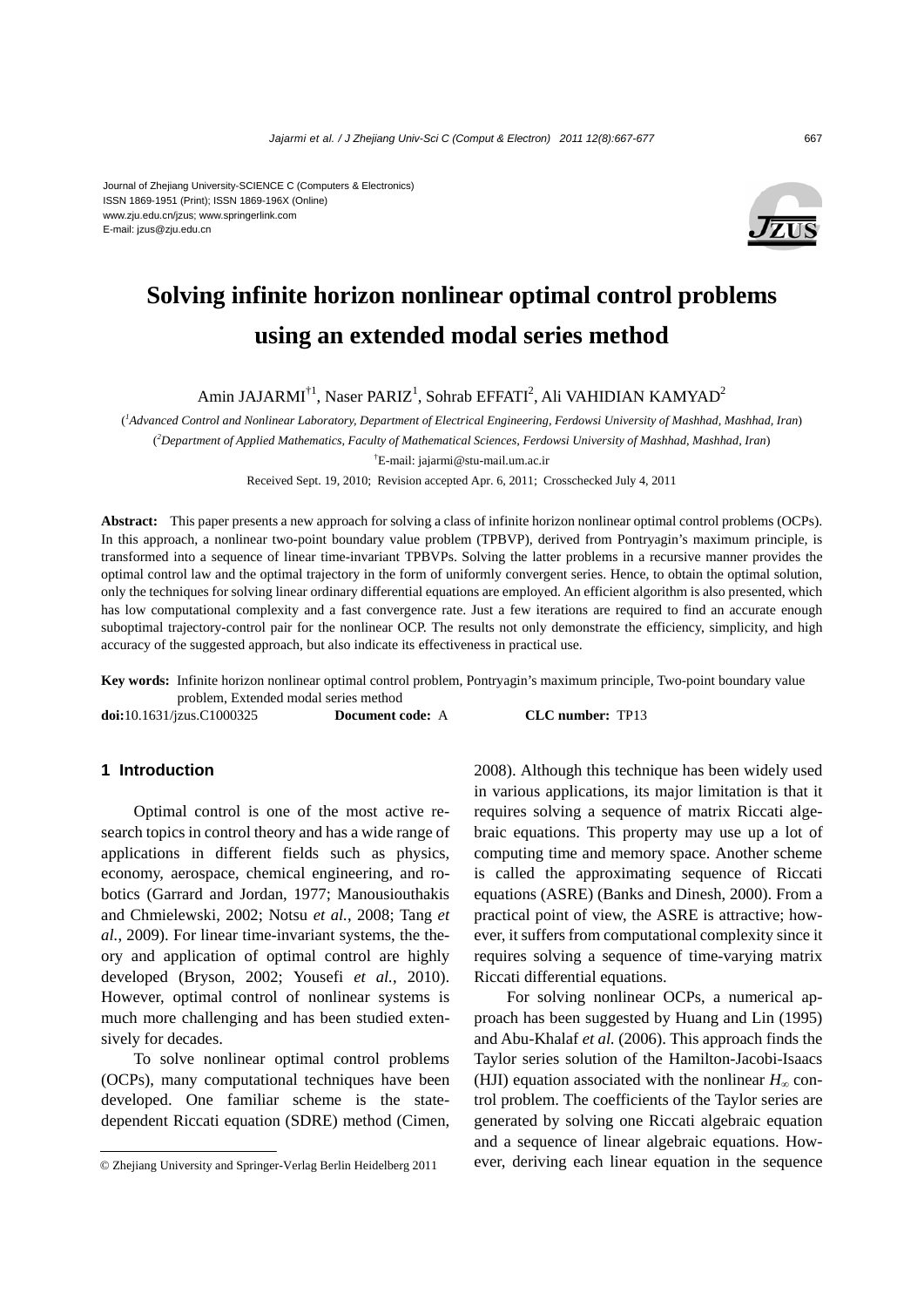#### Journal of Zhejiang University-SCIENCE C (Computers & Electronics) ISSN 1869-1951 (Print); ISSN 1869-196X (Online) www.zju.edu.cn/jzus; www.springerlink.com E-mail: jzus@zju.edu.cn



# **Solving infinite horizon nonlinear optimal control problems using an extended modal series method**

Amin JAJARMI $^{\dagger1}$ , Naser PARIZ<sup>1</sup>, Sohrab EFFATI<sup>2</sup>, Ali VAHIDIAN KAMYAD<sup>2</sup>

( *1 Advanced Control and Nonlinear Laboratory, Department of Electrical Engineering, Ferdowsi University of Mashhad, Mashhad, Iran*) ( *2 Department of Applied Mathematics, Faculty of Mathematical Sciences, Ferdowsi University of Mashhad, Mashhad, Iran*) † E-mail: jajarmi@stu-mail.um.ac.ir

Received Sept. 19, 2010; Revision accepted Apr. 6, 2011; Crosschecked July 4, 2011

**Abstract:** This paper presents a new approach for solving a class of infinite horizon nonlinear optimal control problems (OCPs). In this approach, a nonlinear two-point boundary value problem (TPBVP), derived from Pontryagin's maximum principle, is transformed into a sequence of linear time-invariant TPBVPs. Solving the latter problems in a recursive manner provides the optimal control law and the optimal trajectory in the form of uniformly convergent series. Hence, to obtain the optimal solution, only the techniques for solving linear ordinary differential equations are employed. An efficient algorithm is also presented, which has low computational complexity and a fast convergence rate. Just a few iterations are required to find an accurate enough suboptimal trajectory-control pair for the nonlinear OCP. The results not only demonstrate the efficiency, simplicity, and high accuracy of the suggested approach, but also indicate its effectiveness in practical use.

**Key words:** Infinite horizon nonlinear optimal control problem, Pontryagin's maximum principle, Two-point boundary value problem, Extended modal series method

**doi:**10.1631/jzus.C1000325 **Document code:** A **CLC number:** TP13

## **1 Introduction**

Optimal control is one of the most active research topics in control theory and has a wide range of applications in different fields such as physics, economy, aerospace, chemical engineering, and robotics (Garrard and Jordan, 1977; Manousiouthakis and Chmielewski, 2002; Notsu *et al.*, 2008; Tang *et al.*, 2009). For linear time-invariant systems, the theory and application of optimal control are highly developed (Bryson, 2002; Yousefi *et al.*, 2010). However, optimal control of nonlinear systems is much more challenging and has been studied extensively for decades.

To solve nonlinear optimal control problems (OCPs), many computational techniques have been developed. One familiar scheme is the statedependent Riccati equation (SDRE) method (Cimen,

2008). Although this technique has been widely used in various applications, its major limitation is that it requires solving a sequence of matrix Riccati algebraic equations. This property may use up a lot of computing time and memory space. Another scheme is called the approximating sequence of Riccati equations (ASRE) (Banks and Dinesh, 2000). From a practical point of view, the ASRE is attractive; however, it suffers from computational complexity since it requires solving a sequence of time-varying matrix Riccati differential equations.

For solving nonlinear OCPs, a numerical approach has been suggested by Huang and Lin (1995) and Abu-Khalaf *et al.* (2006). This approach finds the Taylor series solution of the Hamilton-Jacobi-Isaacs (HJI) equation associated with the nonlinear  $H_{\infty}$  control problem. The coefficients of the Taylor series are generated by solving one Riccati algebraic equation and a sequence of linear algebraic equations. However, deriving each linear equation in the sequence

<sup>©</sup> Zhejiang University and Springer-Verlag Berlin Heidelberg 2011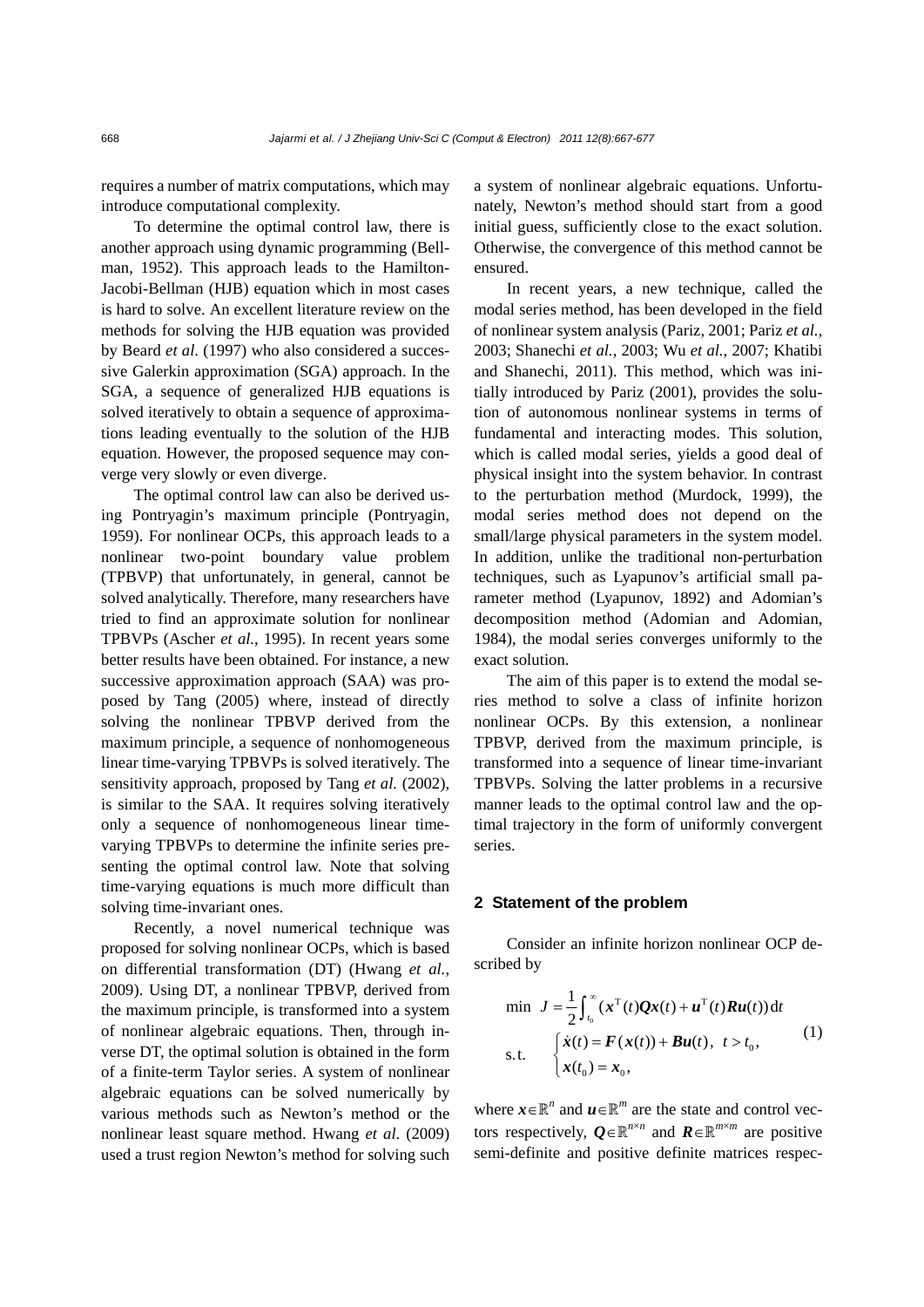requires a number of matrix computations, which may introduce computational complexity.

To determine the optimal control law, there is another approach using dynamic programming (Bellman, 1952). This approach leads to the Hamilton-Jacobi-Bellman (HJB) equation which in most cases is hard to solve. An excellent literature review on the methods for solving the HJB equation was provided by Beard *et al*. (1997) who also considered a successive Galerkin approximation (SGA) approach. In the SGA, a sequence of generalized HJB equations is solved iteratively to obtain a sequence of approximations leading eventually to the solution of the HJB equation. However, the proposed sequence may converge very slowly or even diverge.

The optimal control law can also be derived using Pontryagin's maximum principle (Pontryagin, 1959). For nonlinear OCPs, this approach leads to a nonlinear two-point boundary value problem (TPBVP) that unfortunately, in general, cannot be solved analytically. Therefore, many researchers have tried to find an approximate solution for nonlinear TPBVPs (Ascher *et al.*, 1995). In recent years some better results have been obtained. For instance, a new successive approximation approach (SAA) was proposed by Tang (2005) where, instead of directly solving the nonlinear TPBVP derived from the maximum principle, a sequence of nonhomogeneous linear time-varying TPBVPs is solved iteratively. The sensitivity approach, proposed by Tang *et al.* (2002), is similar to the SAA. It requires solving iteratively only a sequence of nonhomogeneous linear timevarying TPBVPs to determine the infinite series presenting the optimal control law. Note that solving time-varying equations is much more difficult than solving time-invariant ones.

Recently, a novel numerical technique was proposed for solving nonlinear OCPs, which is based on differential transformation (DT) (Hwang *et al.*, 2009). Using DT, a nonlinear TPBVP, derived from the maximum principle, is transformed into a system of nonlinear algebraic equations. Then, through inverse DT, the optimal solution is obtained in the form of a finite-term Taylor series. A system of nonlinear algebraic equations can be solved numerically by various methods such as Newton's method or the nonlinear least square method. Hwang *et al*. (2009) used a trust region Newton's method for solving such

a system of nonlinear algebraic equations. Unfortunately, Newton's method should start from a good initial guess, sufficiently close to the exact solution. Otherwise, the convergence of this method cannot be ensured.

In recent years, a new technique, called the modal series method, has been developed in the field of nonlinear system analysis (Pariz, 2001; Pariz *et al.*, 2003; Shanechi *et al.*, 2003; Wu *et al.*, 2007; Khatibi and Shanechi, 2011). This method, which was initially introduced by Pariz (2001), provides the solution of autonomous nonlinear systems in terms of fundamental and interacting modes. This solution, which is called modal series, yields a good deal of physical insight into the system behavior. In contrast to the perturbation method (Murdock, 1999), the modal series method does not depend on the small/large physical parameters in the system model. In addition, unlike the traditional non-perturbation techniques, such as Lyapunov's artificial small parameter method (Lyapunov, 1892) and Adomian's decomposition method (Adomian and Adomian, 1984), the modal series converges uniformly to the exact solution.

The aim of this paper is to extend the modal series method to solve a class of infinite horizon nonlinear OCPs. By this extension, a nonlinear TPBVP, derived from the maximum principle, is transformed into a sequence of linear time-invariant TPBVPs. Solving the latter problems in a recursive manner leads to the optimal control law and the optimal trajectory in the form of uniformly convergent series.

#### **2 Statement of the problem**

Consider an infinite horizon nonlinear OCP described by

min 
$$
J = \frac{1}{2} \int_{t_0}^{\infty} (\mathbf{x}^{T}(t) \mathbf{Q} \mathbf{x}(t) + \mathbf{u}^{T}(t) \mathbf{R} \mathbf{u}(t)) dt
$$
  
s.t.  $\begin{cases} \dot{\mathbf{x}}(t) = \mathbf{F}(\mathbf{x}(t)) + \mathbf{B} \mathbf{u}(t), & t > t_0, \\ \mathbf{x}(t_0) = \mathbf{x}_0, & (1) \end{cases}$ 

where  $\mathbf{x} \in \mathbb{R}^n$  and  $\mathbf{u} \in \mathbb{R}^m$  are the state and control vectors respectively,  $Q \in \mathbb{R}^{n \times n}$  and  $R \in \mathbb{R}^{m \times m}$  are positive semi-definite and positive definite matrices respec-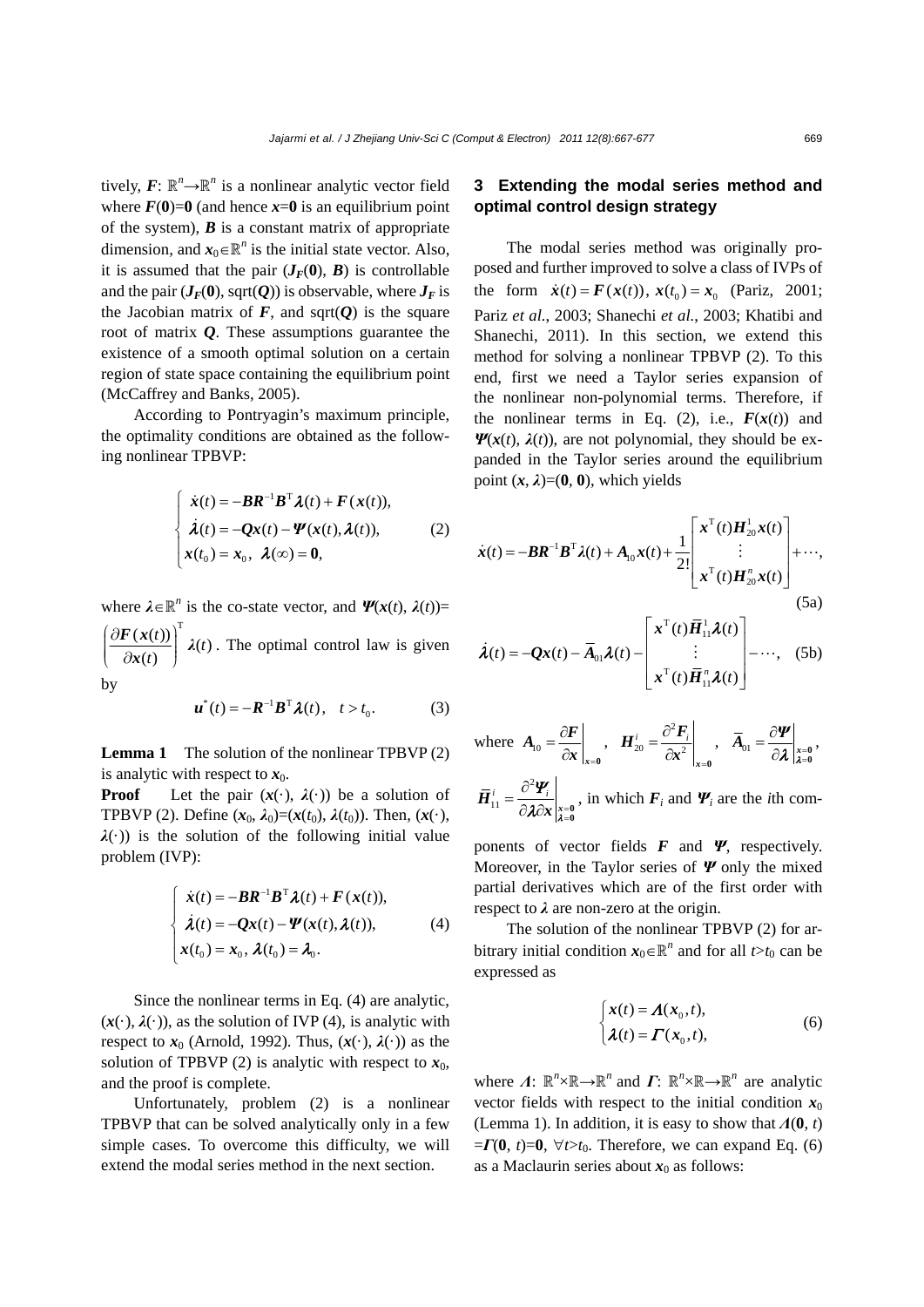tively,  $F: \mathbb{R}^n \rightarrow \mathbb{R}^n$  is a nonlinear analytic vector field where  $F(0)=0$  (and hence  $x=0$  is an equilibrium point of the system),  $\boldsymbol{B}$  is a constant matrix of appropriate dimension, and  $x_0 \in \mathbb{R}^n$  is the initial state vector. Also, it is assumed that the pair  $(J_F(0), B)$  is controllable and the pair  $(J_F(0), \text{sqrt}(Q))$  is observable, where  $J_F$  is the Jacobian matrix of  $F$ , and sqrt $(Q)$  is the square root of matrix *Q*. These assumptions guarantee the existence of a smooth optimal solution on a certain region of state space containing the equilibrium point (McCaffrey and Banks, 2005).

According to Pontryagin's maximum principle, the optimality conditions are obtained as the following nonlinear TPBVP:

$$
\begin{cases}\n\dot{x}(t) = -BR^{-1}B^{T}\lambda(t) + F(x(t)), \\
\dot{\lambda}(t) = -Qx(t) - \Psi(x(t), \lambda(t)), \\
x(t_0) = x_0, \ \lambda(\infty) = 0,\n\end{cases}
$$
\n(2)

where  $\lambda \in \mathbb{R}^n$  is the co-state vector, and  $\Psi(x(t), \lambda(t))$ =  $\frac{(x(t))}{x(t)}\Bigg]^{T} \lambda(t)$ *t*  $\frac{\mathbf{F}(\mathbf{x}(t))}{\mathbf{a}(\mathbf{x})} \mathbf{x}$ *x*  $\left(\frac{\partial \bm{F}(\bm{x}(t))}{\partial \bm{x}(t)}\right)$ . The optimal control law is given by

$$
\boldsymbol{u}^*(t) = -\boldsymbol{R}^{-1}\boldsymbol{B}^{\mathrm{T}}\boldsymbol{\lambda}(t), \quad t > t_0.
$$
 (3)

**Lemma 1** The solution of the nonlinear TPBVP (2) is analytic with respect to  $x_0$ .

**Proof** Let the pair  $(x(\cdot), \lambda(\cdot))$  be a solution of TPBVP (2). Define  $(x_0, \lambda_0) = (x(t_0), \lambda(t_0))$ . Then,  $(x(\cdot))$ ,  $\lambda(\cdot)$ ) is the solution of the following initial value problem (IVP):

$$
\begin{cases}\n\dot{x}(t) = -\boldsymbol{B}\boldsymbol{R}^{-1}\boldsymbol{B}^{\mathrm{T}}\boldsymbol{\lambda}(t) + \boldsymbol{F}(\boldsymbol{x}(t)), \\
\dot{\boldsymbol{\lambda}}(t) = -\boldsymbol{Q}\boldsymbol{x}(t) - \boldsymbol{\Psi}(\boldsymbol{x}(t), \boldsymbol{\lambda}(t)), \\
\boldsymbol{x}(t_0) = \boldsymbol{x}_0, \boldsymbol{\lambda}(t_0) = \boldsymbol{\lambda}_0.\n\end{cases}
$$
\n(4)

Since the nonlinear terms in Eq. (4) are analytic,  $(x(\cdot), \lambda(\cdot))$ , as the solution of IVP (4), is analytic with respect to  $x_0$  (Arnold, 1992). Thus,  $(x(\cdot), \lambda(\cdot))$  as the solution of TPBVP (2) is analytic with respect to  $x_0$ , and the proof is complete.

Unfortunately, problem (2) is a nonlinear TPBVP that can be solved analytically only in a few simple cases. To overcome this difficulty, we will extend the modal series method in the next section.

# **3 Extending the modal series method and optimal control design strategy**

The modal series method was originally proposed and further improved to solve a class of IVPs of the form  $\dot{x}(t) = F(x(t)), x(t_0) = x_0$  (Pariz, 2001; Pariz *et al.*, 2003; Shanechi *et al.*, 2003; Khatibi and Shanechi, 2011). In this section, we extend this method for solving a nonlinear TPBVP (2). To this end, first we need a Taylor series expansion of the nonlinear non-polynomial terms. Therefore, if the nonlinear terms in Eq. (2), i.e.,  $F(x(t))$  and *Ψ*( $x(t)$ ,  $λ(t)$ ), are not polynomial, they should be expanded in the Taylor series around the equilibrium point  $(x, \lambda) = (0, 0)$ , which yields

$$
\dot{\boldsymbol{x}}(t) = -\boldsymbol{B}\boldsymbol{R}^{-1}\boldsymbol{B}^{\mathrm{T}}\boldsymbol{\lambda}(t) + A_{10}\boldsymbol{x}(t) + \frac{1}{2!}\begin{bmatrix} \boldsymbol{x}^{\mathrm{T}}(t)\boldsymbol{H}_{20}^{1}\boldsymbol{x}(t) \\ \vdots \\ \boldsymbol{x}^{\mathrm{T}}(t)\boldsymbol{H}_{20}^{n}\boldsymbol{x}(t) \end{bmatrix} + \cdots,
$$
\n(5a)

$$
\dot{\lambda}(t) = -Qx(t) - \overline{A}_{01}\lambda(t) - \begin{bmatrix} x^{\mathrm{T}}(t) \overline{H}_{11}^{1} \lambda(t) \\ \vdots \\ x^{\mathrm{T}}(t) \overline{H}_{11}^{n} \lambda(t) \end{bmatrix} - \cdots, \quad (5b)
$$

where 
$$
\mathbf{A}_{10} = \frac{\partial \mathbf{F}}{\partial x}\Big|_{x=0}
$$
,  $\mathbf{H}_{20}^i = \frac{\partial^2 \mathbf{F}_i}{\partial x^2}\Big|_{x=0}$ ,  $\overline{\mathbf{A}}_{01} = \frac{\partial \mathbf{\Psi}}{\partial \lambda}\Big|_{\substack{x=0 \ x=0}} = \frac{\partial \mathbf{\Psi}}{\partial \lambda}\Big|_{\substack{x=0 \ x=0}} = \frac{\partial \mathbf{\Psi}}{\partial \lambda}\Big|_{\substack{x=0 \ x=0}} = \frac{\partial^2 \mathbf{\Psi}_i}{\partial \lambda \partial x}\Big|_{\substack{x=0 \ x=0}} = \frac{\partial \mathbf{\Psi}}{\partial \lambda}\Big|_{\substack{x=0 \ x=0}} = \frac{\partial \mathbf{\Psi}}{\partial \lambda}\Big|_{\substack{x=0 \ x=0}} = \frac{\partial \mathbf{\Psi}}{\partial \lambda}\Big|_{\substack{x=0 \ x=0}} = \frac{\partial \mathbf{\Psi}}{\partial \lambda}\Big|_{\lambda=0}$ 

ponents of vector fields *F* and *Ψ*, respectively. Moreover, in the Taylor series of *Ψ* only the mixed partial derivatives which are of the first order with respect to *λ* are non-zero at the origin.

The solution of the nonlinear TPBVP (2) for arbitrary initial condition  $x_0 \in \mathbb{R}^n$  and for all  $t > t_0$  can be expressed as

$$
\begin{cases}\n x(t) = A(x_0, t), \\
 \lambda(t) = \Gamma(x_0, t),\n\end{cases}
$$
\n(6)

where  $\Lambda$ :  $\mathbb{R}^n \times \mathbb{R} \to \mathbb{R}^n$  and  $\Lambda$ :  $\mathbb{R}^n \times \mathbb{R} \to \mathbb{R}^n$  are analytic vector fields with respect to the initial condition  $x_0$ (Lemma 1). In addition, it is easy to show that *Λ*(**0**, *t*)  $=$ *Γ***(0**, *t*)=**0**,  $\forall$ *t*>*t*<sub>0</sub>. Therefore, we can expand Eq. (6) as a Maclaurin series about  $x_0$  as follows: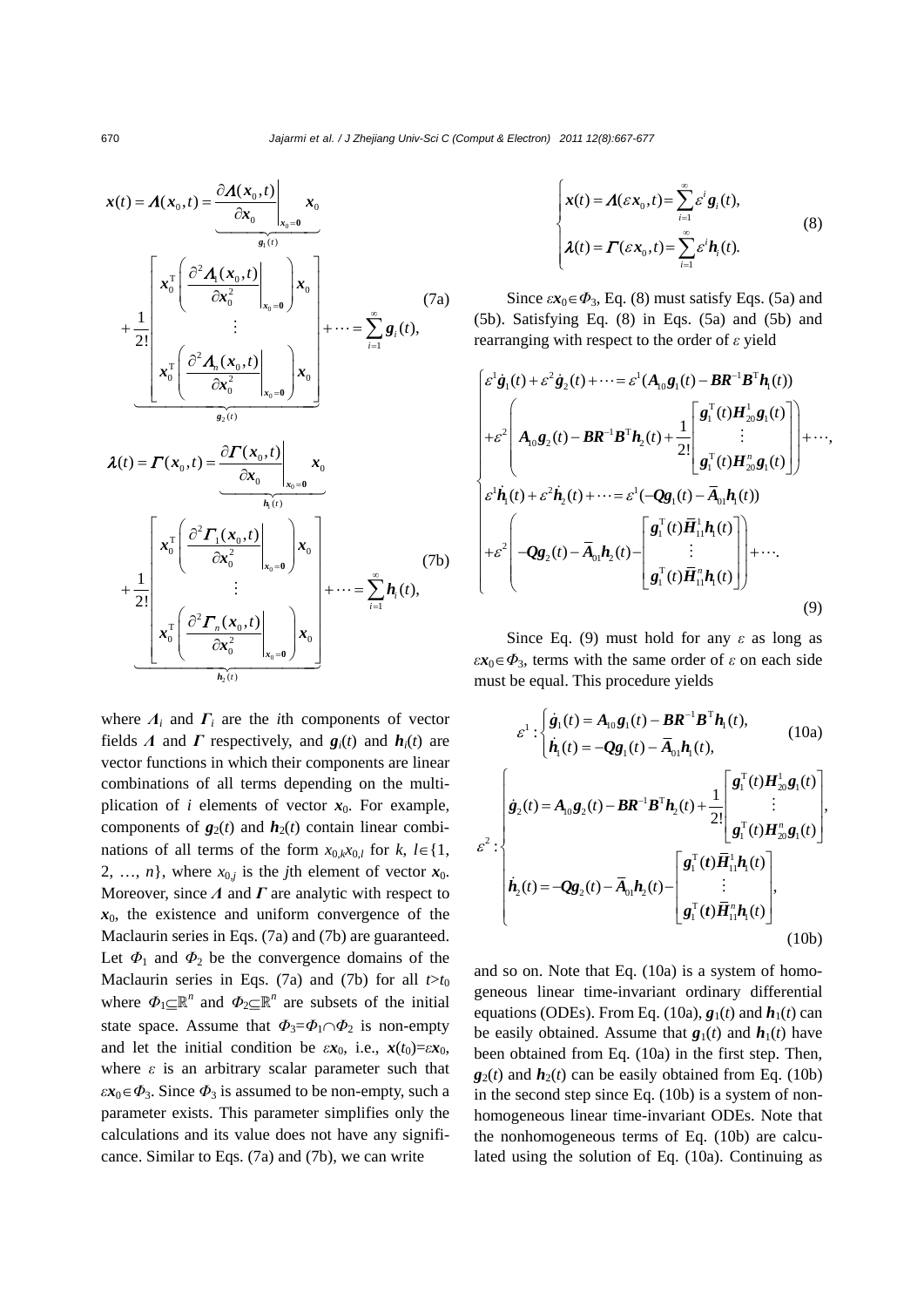$$
\mathbf{x}(t) = \mathbf{\Lambda}(\mathbf{x}_0, t) = \frac{\partial \mathbf{\Lambda}(\mathbf{x}_0, t)}{\partial \mathbf{x}_0} \Big|_{\mathbf{x}_0 = \mathbf{0}} \mathbf{x}_0
$$
\n
$$
+ \frac{1}{2!} \begin{bmatrix}\n\mathbf{x}_0^{\mathrm{T}} \left( \frac{\partial^2 \mathbf{\Lambda}_1(\mathbf{x}_0, t)}{\partial \mathbf{x}_0^2} \Big|_{\mathbf{x}_0 = \mathbf{0}} \right) \mathbf{x}_0 \\
\mathbf{x}_0^{\mathrm{T}} \left( \frac{\partial^2 \mathbf{\Lambda}_n(\mathbf{x}_0, t)}{\partial \mathbf{x}_0^2} \Big|_{\mathbf{x}_0 = \mathbf{0}} \right) \mathbf{x}_0\n\end{bmatrix} + \dots = \sum_{i=1}^{\infty} \mathbf{g}_i(t),
$$
\n
$$
\mathbf{\lambda}(t) = \mathbf{\Gamma}(\mathbf{x}_0, t) = \frac{\partial \mathbf{\Gamma}(\mathbf{x}_0, t)}{\partial \mathbf{x}_0} \Big|_{\mathbf{x}_0 = \mathbf{0}} \mathbf{x}_0
$$
\n
$$
+ \frac{1}{2!} \begin{bmatrix}\n\mathbf{x}_0^{\mathrm{T}} \left( \frac{\partial^2 \mathbf{\Gamma}_1(\mathbf{x}_0, t)}{\partial \mathbf{x}_0^2} \Big|_{\mathbf{x}_0 = \mathbf{0}} \right) \mathbf{x}_0 \\
\mathbf{x}_0^{\mathrm{T}} \left( \frac{\partial^2 \mathbf{\Gamma}_1(\mathbf{x}_0, t)}{\partial \mathbf{x}_0^2} \Big|_{\mathbf{x}_0 = \mathbf{0}} \right) \mathbf{x}_0\n\end{bmatrix} + \dots = \sum_{i=1}^{\infty} \mathbf{h}_i(t),
$$
\n
$$
(7\mathbf{b})
$$

where  $\Lambda_i$  and  $\Gamma_i$  are the *i*th components of vector fields *Λ* and *Γ* respectively, and  $g_i(t)$  and  $h_i(t)$  are vector functions in which their components are linear combinations of all terms depending on the multiplication of  $i$  elements of vector  $x_0$ . For example, components of  $g_2(t)$  and  $h_2(t)$  contain linear combinations of all terms of the form  $x_{0,k}x_{0,l}$  for  $k, l \in \{1, \}$ 2, ..., *n*}, where  $x_{0,j}$  is the *j*th element of vector  $x_0$ . Moreover, since *Λ* and *Γ* are analytic with respect to  $x<sub>0</sub>$ , the existence and uniform convergence of the Maclaurin series in Eqs. (7a) and (7b) are guaranteed. Let  $\Phi_1$  and  $\Phi_2$  be the convergence domains of the Maclaurin series in Eqs. (7a) and (7b) for all  $t>t_0$ where  $\Phi_1 \subseteq \mathbb{R}^n$  and  $\Phi_2 \subseteq \mathbb{R}^n$  are subsets of the initial state space. Assume that  $\Phi_3 = \Phi_1 \cap \Phi_2$  is non-empty and let the initial condition be  $\varepsilon x_0$ , i.e.,  $x(t_0) = \varepsilon x_0$ , where  $\varepsilon$  is an arbitrary scalar parameter such that  $\epsilon x_0 \in \Phi_3$ . Since  $\Phi_3$  is assumed to be non-empty, such a parameter exists. This parameter simplifies only the calculations and its value does not have any significance. Similar to Eqs. (7a) and (7b), we can write

$$
\begin{cases}\n\mathbf{x}(t) = \mathbf{\Lambda}(\varepsilon \mathbf{x}_0, t) = \sum_{i=1}^{\infty} \varepsilon^i \mathbf{g}_i(t), \\
\lambda(t) = \mathbf{\Gamma}(\varepsilon \mathbf{x}_0, t) = \sum_{i=1}^{\infty} \varepsilon^i \mathbf{h}_i(t).\n\end{cases}
$$
\n(8)

Since  $\varepsilon x_0 \in \Phi_3$ , Eq. (8) must satisfy Eqs. (5a) and (5b). Satisfying Eq. (8) in Eqs. (5a) and (5b) and rearranging with respect to the order of *ε* yield

$$
\begin{cases}\n\varepsilon^{1}\dot{\mathbf{g}}_{1}(t) + \varepsilon^{2}\dot{\mathbf{g}}_{2}(t) + \cdots = \varepsilon^{1}(A_{10}\mathbf{g}_{1}(t) - \mathbf{B}\mathbf{R}^{-1}\mathbf{B}^{\mathrm{T}}\mathbf{h}_{1}(t)) \\
+ \varepsilon^{2}\n\begin{pmatrix}\nA_{10}\mathbf{g}_{2}(t) - \mathbf{B}\mathbf{R}^{-1}\mathbf{B}^{\mathrm{T}}\mathbf{h}_{2}(t) + \frac{1}{2!}\n\end{pmatrix}\n\begin{pmatrix}\n\mathbf{g}_{1}^{T}(t)\mathbf{H}_{20}^{1}\mathbf{g}_{1}(t) \\
\vdots \\
\mathbf{g}_{1}^{T}(t)\mathbf{H}_{20}^{n}\mathbf{g}_{1}(t)\n\end{pmatrix} + \cdots, \\
\varepsilon^{1}\dot{\mathbf{h}}_{1}(t) + \varepsilon^{2}\dot{\mathbf{h}}_{2}(t) + \cdots = \varepsilon^{1}(-\mathbf{Q}\mathbf{g}_{1}(t) - \bar{A}_{01}\mathbf{h}_{1}(t)) \\
+ \varepsilon^{2}\n\begin{pmatrix}\n-\mathbf{Q}\mathbf{g}_{2}(t) - \bar{A}_{01}\mathbf{h}_{2}(t) - \begin{bmatrix}\n\mathbf{g}_{1}^{T}(t)\bar{\mathbf{H}}_{11}^{1}\mathbf{h}_{1}(t) \\
\vdots \\
\mathbf{g}_{1}^{T}(t)\bar{\mathbf{H}}_{11}^{n}\mathbf{h}_{1}(t)\n\end{bmatrix} + \cdots.\n\end{cases}
$$
\n(9)

Since Eq. (9) must hold for any *ε* as long as  $\epsilon x_0 \in \Phi_3$ , terms with the same order of  $\epsilon$  on each side must be equal. This procedure yields

$$
\varepsilon^{1} : \begin{cases} \dot{\mathbf{g}}_{1}(t) = A_{10}\mathbf{g}_{1}(t) - \mathbf{B}\mathbf{R}^{-1}\mathbf{B}^{\mathrm{T}}\mathbf{h}_{1}(t), \\ \dot{\mathbf{h}}_{1}(t) = -\mathbf{Q}\mathbf{g}_{1}(t) - \overline{A}_{01}\mathbf{h}_{1}(t), \end{cases} (10a)
$$
\n
$$
\varepsilon^{2} : \begin{cases} \dot{\mathbf{g}}_{2}(t) = A_{10}\mathbf{g}_{2}(t) - \mathbf{B}\mathbf{R}^{-1}\mathbf{B}^{\mathrm{T}}\mathbf{h}_{2}(t) + \frac{1}{2!} \begin{bmatrix} \mathbf{g}_{1}^{\mathrm{T}}(t)\mathbf{H}_{20}^{1}\mathbf{g}_{1}(t) \\ \vdots \\ \mathbf{g}_{1}^{\mathrm{T}}(t)\mathbf{H}_{20}^{n}\mathbf{g}_{1}(t) \end{bmatrix}, \\ \dot{\mathbf{h}}_{2}(t) = -\mathbf{Q}\mathbf{g}_{2}(t) - \overline{A}_{01}\mathbf{h}_{2}(t) - \begin{bmatrix} \mathbf{g}_{1}^{\mathrm{T}}(t)\overline{\mathbf{H}}_{11}^{1}\mathbf{h}_{1}(t) \\ \vdots \\ \mathbf{g}_{1}^{\mathrm{T}}(t)\overline{\mathbf{H}}_{11}^{n}\mathbf{h}_{1}(t) \end{bmatrix}, \\ (10b)
$$

and so on. Note that Eq. (10a) is a system of homogeneous linear time-invariant ordinary differential equations (ODEs). From Eq. (10a),  $g_1(t)$  and  $h_1(t)$  can be easily obtained. Assume that  $g_1(t)$  and  $h_1(t)$  have been obtained from Eq. (10a) in the first step. Then,  $g_2(t)$  and  $h_2(t)$  can be easily obtained from Eq. (10b) in the second step since Eq. (10b) is a system of nonhomogeneous linear time-invariant ODEs. Note that the nonhomogeneous terms of Eq. (10b) are calculated using the solution of Eq. (10a). Continuing as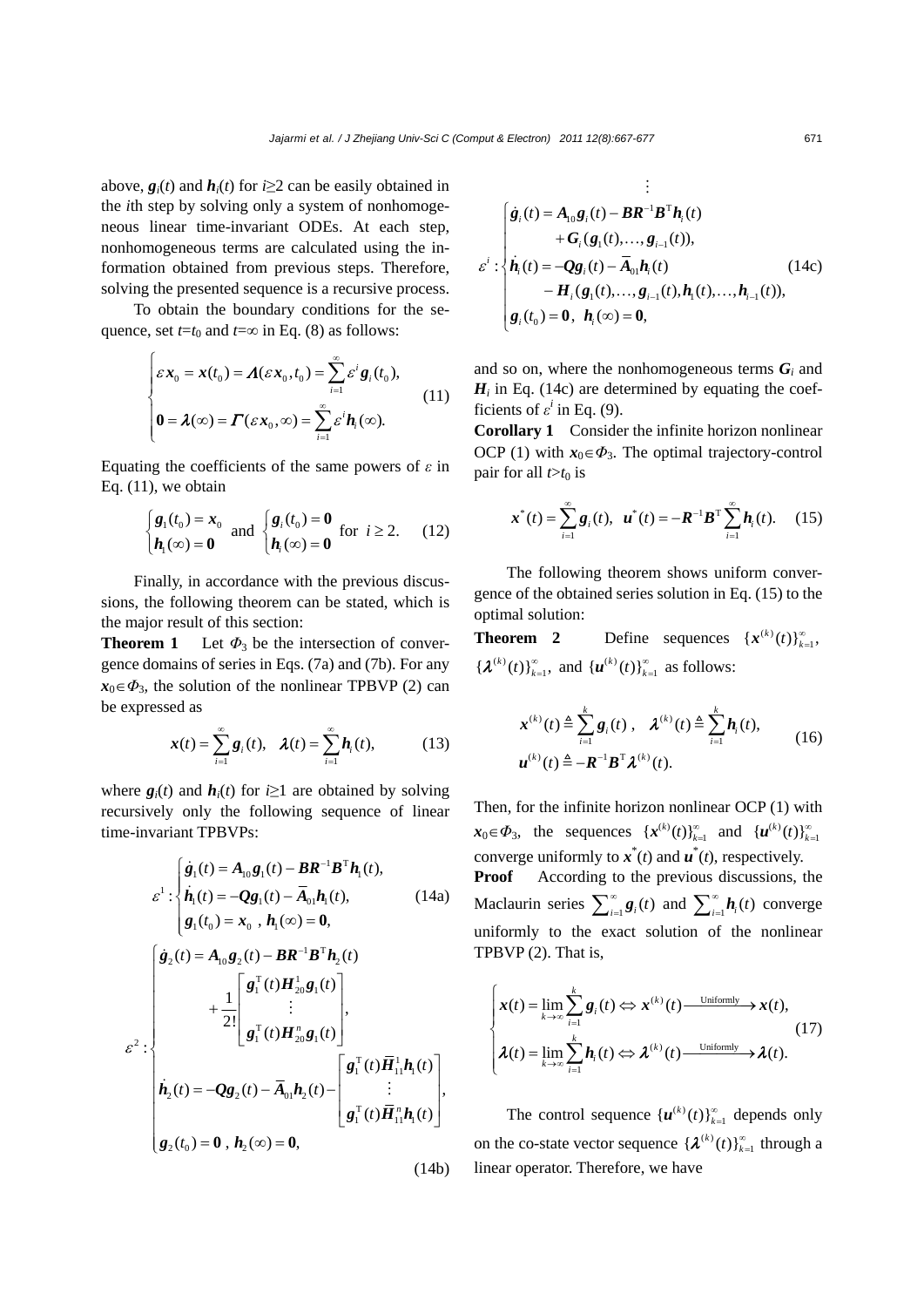above,  $g_i(t)$  and  $h_i(t)$  for  $i \geq 2$  can be easily obtained in the *i*th step by solving only a system of nonhomogeneous linear time-invariant ODEs. At each step, nonhomogeneous terms are calculated using the information obtained from previous steps. Therefore, solving the presented sequence is a recursive process.

To obtain the boundary conditions for the sequence, set  $t=t_0$  and  $t=\infty$  in Eq. (8) as follows:

$$
\begin{cases}\n\varepsilon \mathbf{x}_0 = \mathbf{x}(t_0) = \mathbf{\Lambda}(\varepsilon \mathbf{x}_0, t_0) = \sum_{i=1}^{\infty} \varepsilon^i \mathbf{g}_i(t_0), \\
\mathbf{0} = \mathbf{\lambda}(\infty) = \mathbf{\Gamma}(\varepsilon \mathbf{x}_0, \infty) = \sum_{i=1}^{\infty} \varepsilon^i \mathbf{h}_i(\infty).\n\end{cases}
$$
\n(11)

Equating the coefficients of the same powers of *ε* in Eq. (11), we obtain

$$
\begin{cases} \mathbf{g}_1(t_0) = \mathbf{x}_0 \\ \mathbf{h}_1(\infty) = \mathbf{0} \end{cases} \text{ and } \begin{cases} \mathbf{g}_i(t_0) = \mathbf{0} \\ \mathbf{h}_i(\infty) = \mathbf{0} \end{cases} \text{ for } i \ge 2. \tag{12}
$$

Finally, in accordance with the previous discussions, the following theorem can be stated, which is the major result of this section:

**Theorem 1** Let  $\Phi_3$  be the intersection of convergence domains of series in Eqs. (7a) and (7b). For any  $x_0 \in \Phi_3$ , the solution of the nonlinear TPBVP (2) can be expressed as

$$
\boldsymbol{x}(t) = \sum_{i=1}^{\infty} \boldsymbol{g}_i(t), \quad \boldsymbol{\lambda}(t) = \sum_{i=1}^{\infty} \boldsymbol{h}_i(t), \quad (13)
$$

where  $g_i(t)$  and  $h_i(t)$  for  $i \geq 1$  are obtained by solving recursively only the following sequence of linear time-invariant TPBVPs:

$$
\varepsilon^{1} : \begin{cases} \dot{\mathbf{g}}_{1}(t) = A_{10} \mathbf{g}_{1}(t) - \mathbf{B} \mathbf{R}^{-1} \mathbf{B}^{\mathrm{T}} \mathbf{h}_{1}(t), \\ \dot{\mathbf{h}}_{1}(t) = -\mathbf{Q} \mathbf{g}_{1}(t) - \overline{A}_{01} \mathbf{h}_{1}(t), \end{cases} (14a)
$$
\n
$$
\begin{cases} \dot{\mathbf{g}}_{2}(t) = \mathbf{A}_{10} \mathbf{g}_{2}(t) - \mathbf{B} \mathbf{R}^{-1} \mathbf{B}^{\mathrm{T}} \mathbf{h}_{2}(t) \\ + \frac{1}{2!} \begin{bmatrix} \mathbf{g}_{1}^{\mathrm{T}}(t) \mathbf{H}_{20}^{1} \mathbf{g}_{1}(t) \\ \vdots \\ \mathbf{g}_{1}^{\mathrm{T}}(t) \mathbf{H}_{20}^{\mathrm{T}} \mathbf{g}_{1}(t) \end{bmatrix}, \\ \varepsilon^{2} : \begin{cases} \dot{\mathbf{h}}_{2}(t) = -\mathbf{Q} \mathbf{g}_{2}(t) - \overline{A}_{01} \mathbf{h}_{2}(t) - \begin{bmatrix} \mathbf{g}_{1}^{\mathrm{T}}(t) \overline{\mathbf{H}}_{11}^{1} \mathbf{h}_{1}(t) \\ \vdots \\ \mathbf{g}_{1}^{\mathrm{T}}(t) \overline{\mathbf{H}}_{11}^{\mathrm{T}} \mathbf{h}_{1}(t) \end{bmatrix}, \\ \mathbf{g}_{2}(t_{0}) = \mathbf{0} \ , \ \mathbf{h}_{2}(\infty) = \mathbf{0}, \end{cases} (14b)
$$

$$
\varepsilon^{i}: \begin{cases} \dot{\mathbf{g}}_{i}(t) = A_{10}\mathbf{g}_{i}(t) - \mathbf{B}\mathbf{R}^{-1}\mathbf{B}^{\mathrm{T}}\mathbf{h}_{i}(t) \\ + \mathbf{G}_{i}(\mathbf{g}_{1}(t),..., \mathbf{g}_{i-1}(t)), \\ \dot{\mathbf{h}}_{i}(t) = -\mathbf{Q}\mathbf{g}_{i}(t) - \overline{\mathbf{A}}_{01}\mathbf{h}_{i}(t) \\ - \mathbf{H}_{i}(\mathbf{g}_{1}(t),..., \mathbf{g}_{i-1}(t), \mathbf{h}_{1}(t),..., \mathbf{h}_{i-1}(t)), \\ \mathbf{g}_{i}(t_{0}) = \mathbf{0}, \ \mathbf{h}_{i}(\infty) = \mathbf{0}, \end{cases}
$$
(14c)

#

and so on, where the nonhomogeneous terms  $G_i$  and  $H_i$  in Eq. (14c) are determined by equating the coefficients of  $\varepsilon^i$  in Eq. (9).

**Corollary 1** Consider the infinite horizon nonlinear OCP (1) with  $x_0 \in \Phi_3$ . The optimal trajectory-control pair for all  $t > t_0$  is

$$
\boldsymbol{x}^{*}(t) = \sum_{i=1}^{\infty} \boldsymbol{g}_{i}(t), \ \ \boldsymbol{u}^{*}(t) = -\boldsymbol{R}^{-1} \boldsymbol{B}^{\mathrm{T}} \sum_{i=1}^{\infty} \boldsymbol{h}_{i}(t). \tag{15}
$$

The following theorem shows uniform convergence of the obtained series solution in Eq. (15) to the optimal solution:

**Theorem 2** Define sequences  $\{x^{(k)}(t)\}_{k=1}^{\infty}$  ${ {\mathcal{X}}^{(k)}(t) }_{k=1}^{\infty}$ , and  ${ {\mathcal{u}}^{(k)}(t) }_{k=1}^{\infty}$  as follows:

$$
\mathbf{x}^{(k)}(t) \triangleq \sum_{i=1}^{k} \mathbf{g}_i(t), \quad \boldsymbol{\lambda}^{(k)}(t) \triangleq \sum_{i=1}^{k} \mathbf{h}_i(t),
$$
  

$$
\mathbf{u}^{(k)}(t) \triangleq -\mathbf{R}^{-1} \mathbf{B}^{\mathrm{T}} \boldsymbol{\lambda}^{(k)}(t).
$$
 (16)

Then, for the infinite horizon nonlinear OCP (1) with  $x_0 \in \Phi_3$ , the sequences  $\{x^{(k)}(t)\}_{k=1}^{\infty}$  and  $\{u^{(k)}(t)\}_{k=1}^{\infty}$ converge uniformly to  $\mathbf{x}^*(t)$  and  $\mathbf{u}^*(t)$ , respectively.

**Proof** According to the previous discussions, the Maclaurin series  $\sum_{i=1}^{\infty} \mathbf{g}_i(t)$  and  $\sum_{i=1}^{\infty} \mathbf{h}_i(t)$  converge uniformly to the exact solution of the nonlinear TPBVP (2). That is,

$$
\begin{cases}\n\mathbf{x}(t) = \lim_{k \to \infty} \sum_{i=1}^{k} \mathbf{g}_i(t) \Leftrightarrow \mathbf{x}^{(k)}(t) \xrightarrow{\text{Uniformly}} \mathbf{x}(t), \\
\lambda(t) = \lim_{k \to \infty} \sum_{i=1}^{k} \mathbf{h}_i(t) \Leftrightarrow \lambda^{(k)}(t) \xrightarrow{\text{Uniformly}} \lambda(t).\n\end{cases}
$$
\n(17)

The control sequence  ${u^{(k)}(t)}_{k=1}^{\infty}$  depends only on the co-state vector sequence  $\{\lambda^{(k)}(t)\}_{k=1}^{\infty}$  through a linear operator. Therefore, we have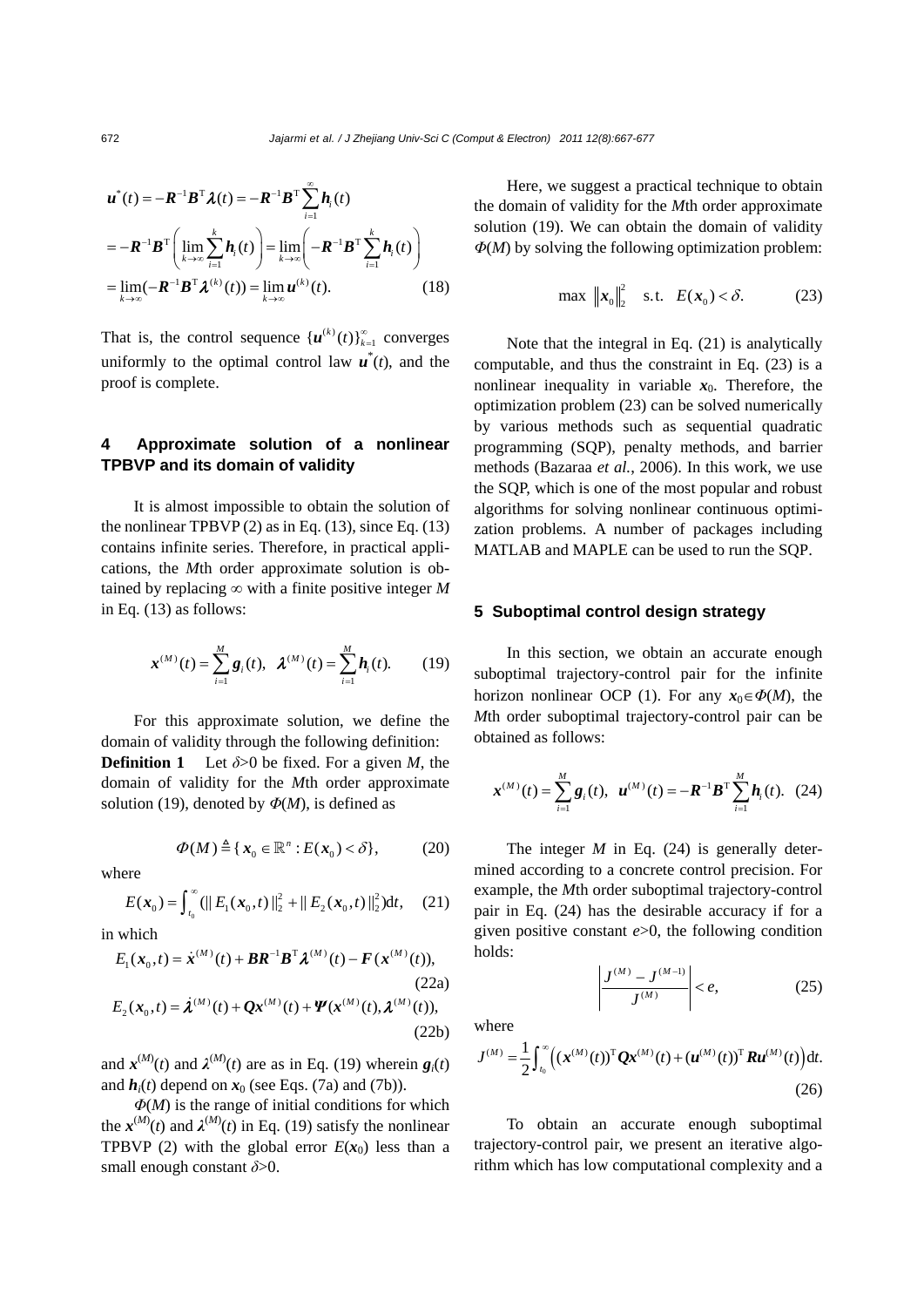$$
\boldsymbol{u}^*(t) = -\boldsymbol{R}^{-1}\boldsymbol{B}^{\mathrm{T}}\boldsymbol{\lambda}(t) = -\boldsymbol{R}^{-1}\boldsymbol{B}^{\mathrm{T}}\sum_{i=1}^{\infty}\boldsymbol{h}_i(t)
$$

$$
= -\boldsymbol{R}^{-1}\boldsymbol{B}^{\mathrm{T}}\left(\lim_{k\to\infty}\sum_{i=1}^k\boldsymbol{h}_i(t)\right) = \lim_{k\to\infty}\left(-\boldsymbol{R}^{-1}\boldsymbol{B}^{\mathrm{T}}\sum_{i=1}^k\boldsymbol{h}_i(t)\right)
$$

$$
= \lim_{k\to\infty}(-\boldsymbol{R}^{-1}\boldsymbol{B}^{\mathrm{T}}\boldsymbol{\lambda}^{(k)}(t)) = \lim_{k\to\infty}\boldsymbol{u}^{(k)}(t). \tag{18}
$$

That is, the control sequence  ${u^{(k)}(t)}_{k=1}^{\infty}$  converges uniformly to the optimal control law  $\mathbf{u}^*(t)$ , and the proof is complete.

# **4 Approximate solution of a nonlinear TPBVP and its domain of validity**

It is almost impossible to obtain the solution of the nonlinear TPBVP $(2)$  as in Eq.  $(13)$ , since Eq.  $(13)$ contains infinite series. Therefore, in practical applications, the *M*th order approximate solution is obtained by replacing  $\infty$  with a finite positive integer M in Eq. (13) as follows:

$$
\mathbf{x}^{(M)}(t) = \sum_{i=1}^{M} \mathbf{g}_i(t), \ \ \mathbf{\lambda}^{(M)}(t) = \sum_{i=1}^{M} \mathbf{h}_i(t). \tag{19}
$$

For this approximate solution, we define the domain of validity through the following definition: **Definition 1** Let  $\delta > 0$  be fixed. For a given *M*, the domain of validity for the *M*th order approximate solution (19), denoted by  $\Phi(M)$ , is defined as

$$
\Phi(M) \triangleq \{ \mathbf{x}_0 \in \mathbb{R}^n : E(\mathbf{x}_0) < \delta \},\tag{20}
$$

where

$$
E(\boldsymbol{x}_0) = \int_{t_0}^{\infty} (||E_1(\boldsymbol{x}_0, t)||_2^2 + ||E_2(\boldsymbol{x}_0, t)||_2^2) dt, \quad (21)
$$

in which

$$
E_1(\mathbf{x}_0, t) = \dot{\mathbf{x}}^{(M)}(t) + \mathbf{B} \mathbf{R}^{-1} \mathbf{B}^{\mathrm{T}} \boldsymbol{\lambda}^{(M)}(t) - \mathbf{F}(\mathbf{x}^{(M)}(t)),
$$
\n(22a)\n
$$
E_2(\mathbf{x}_0, t) = \dot{\mathbf{\lambda}}^{(M)}(t) + \mathbf{Q} \mathbf{x}^{(M)}(t) + \mathbf{\Psi}(\mathbf{x}^{(M)}(t), \boldsymbol{\lambda}^{(M)}(t)),
$$
\n(22b)

and  $\mathbf{x}^{(M)}(t)$  and  $\lambda^{(M)}(t)$  are as in Eq. (19) wherein  $\mathbf{g}_i(t)$ and  $h_i(t)$  depend on  $x_0$  (see Eqs. (7a) and (7b)).

*Φ*(*M*) is the range of initial conditions for which the  $x^{(M)}(t)$  and  $\lambda^{(M)}(t)$  in Eq. (19) satisfy the nonlinear TPBVP (2) with the global error  $E(x_0)$  less than a small enough constant *δ*>0.

Here, we suggest a practical technique to obtain the domain of validity for the *M*th order approximate solution (19). We can obtain the domain of validity *Φ*(*M*) by solving the following optimization problem:

$$
\max \|x_0\|_2^2 \quad \text{s.t.} \quad E(x_0) < \delta. \tag{23}
$$

Note that the integral in Eq. (21) is analytically computable, and thus the constraint in Eq. (23) is a nonlinear inequality in variable  $x_0$ . Therefore, the optimization problem (23) can be solved numerically by various methods such as sequential quadratic programming (SQP), penalty methods, and barrier methods (Bazaraa *et al.*, 2006). In this work, we use the SQP, which is one of the most popular and robust algorithms for solving nonlinear continuous optimization problems. A number of packages including MATLAB and MAPLE can be used to run the SQP.

#### **5 Suboptimal control design strategy**

In this section, we obtain an accurate enough suboptimal trajectory-control pair for the infinite horizon nonlinear OCP (1). For any  $x_0 \in \Phi(M)$ , the *M*th order suboptimal trajectory-control pair can be obtained as follows:

$$
\boldsymbol{x}^{(M)}(t) = \sum_{i=1}^{M} \boldsymbol{g}_i(t), \ \boldsymbol{u}^{(M)}(t) = -\boldsymbol{R}^{-1} \boldsymbol{B}^{\mathrm{T}} \sum_{i=1}^{M} \boldsymbol{h}_i(t). \tag{24}
$$

The integer *M* in Eq. (24) is generally determined according to a concrete control precision. For example, the *M*th order suboptimal trajectory-control pair in Eq. (24) has the desirable accuracy if for a given positive constant *e*>0, the following condition holds:

$$
\left| \frac{J^{(M)} - J^{(M-1)}}{J^{(M)}} \right| < e,\tag{25}
$$

where

$$
J^{(M)} = \frac{1}{2} \int_{t_0}^{\infty} \left( (\mathbf{x}^{(M)}(t))^{\mathrm{T}} \mathbf{Q} \mathbf{x}^{(M)}(t) + (\mathbf{u}^{(M)}(t))^{\mathrm{T}} \mathbf{R} \mathbf{u}^{(M)}(t) \right) dt.
$$
\n(26)

To obtain an accurate enough suboptimal trajectory-control pair, we present an iterative algorithm which has low computational complexity and a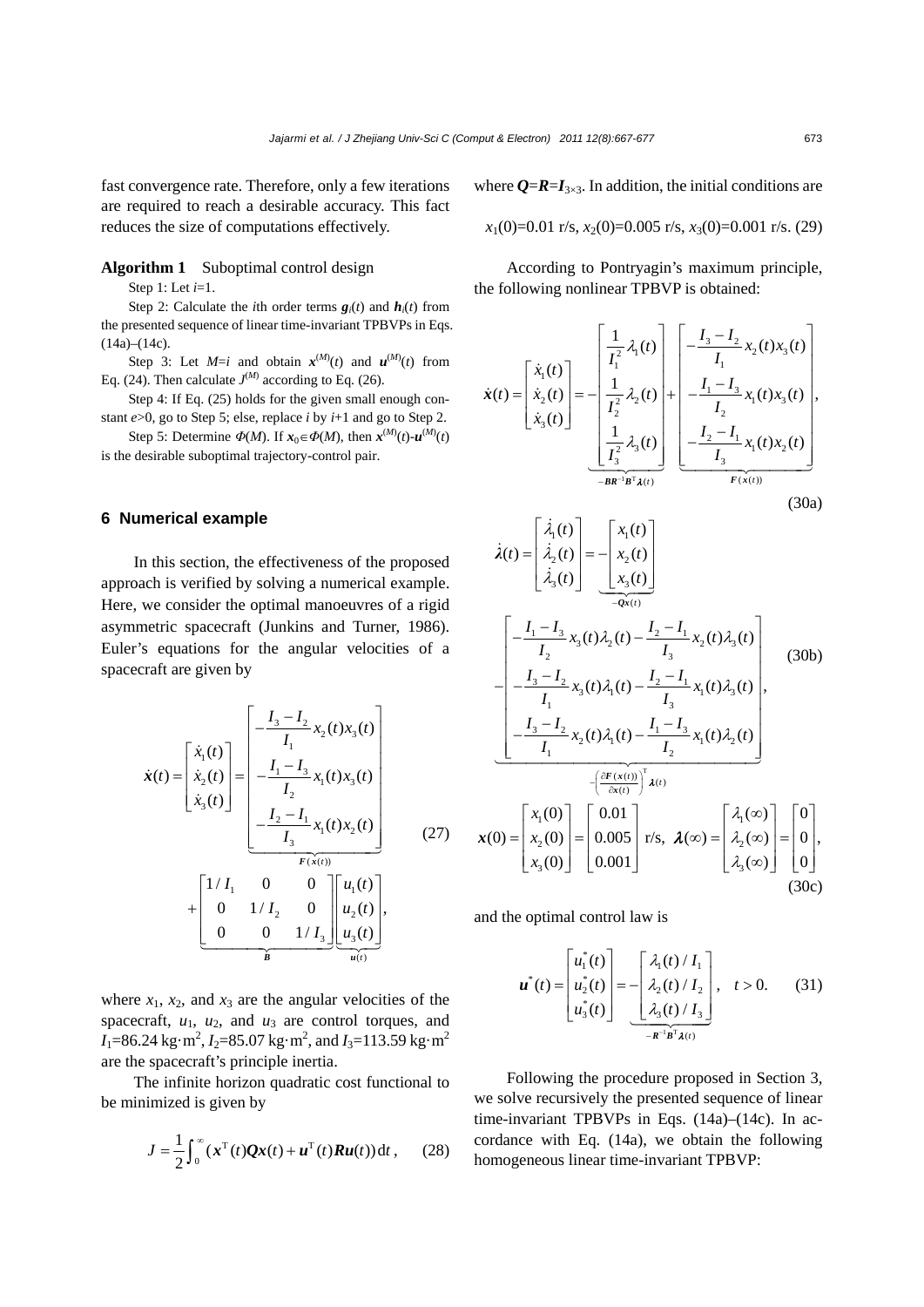fast convergence rate. Therefore, only a few iterations are required to reach a desirable accuracy. This fact reduces the size of computations effectively.

## **Algorithm 1** Suboptimal control design

Step 1: Let *i*=1.

Step 2: Calculate the *i*th order terms  $g_i(t)$  and  $h_i(t)$  from the presented sequence of linear time-invariant TPBVPs in Eqs.  $(14a)–(14c)$ .

Step 3: Let  $M=i$  and obtain  $x^{(M)}(t)$  and  $u^{(M)}(t)$  from Eq. (24). Then calculate  $J^{(M)}$  according to Eq. (26).

Step 4: If Eq. (25) holds for the given small enough constant  $e > 0$ , go to Step 5; else, replace *i* by  $i+1$  and go to Step 2.

Step 5: Determine  $\Phi(M)$ . If  $x_0 \in \Phi(M)$ , then  $x^{(M)}(t) - u^{(M)}(t)$ is the desirable suboptimal trajectory-control pair.

## **6 Numerical example**

In this section, the effectiveness of the proposed approach is verified by solving a numerical example. Here, we consider the optimal manoeuvres of a rigid asymmetric spacecraft (Junkins and Turner, 1986). Euler's equations for the angular velocities of a spacecraft are given by

$$
\dot{\mathbf{x}}(t) = \begin{bmatrix} \dot{x}_1(t) \\ \dot{x}_2(t) \\ \dot{x}_3(t) \end{bmatrix} = \begin{bmatrix} -\frac{I_3 - I_2}{I_1} x_2(t) x_3(t) \\ -\frac{I_1 - I_3}{I_2} x_1(t) x_3(t) \\ -\frac{I_2 - I_1}{I_3} x_1(t) x_2(t) \\ -\frac{F(x(t))}{F(x(t))} \\ 0 & 1/I_2 & 0 \\ 0 & 0 & 1/I_3 \end{bmatrix} \begin{bmatrix} u_1(t) \\ u_2(t) \\ u_3(t) \end{bmatrix},
$$
\n(27)

where  $x_1$ ,  $x_2$ , and  $x_3$  are the angular velocities of the spacecraft,  $u_1$ ,  $u_2$ , and  $u_3$  are control torques, and  $I_1$ =86.24 kg·m<sup>2</sup>,  $I_2$ =85.07 kg·m<sup>2</sup>, and  $I_3$ =113.59 kg·m<sup>2</sup> are the spacecraft's principle inertia.

The infinite horizon quadratic cost functional to be minimized is given by

$$
J = \frac{1}{2} \int_0^\infty (\mathbf{x}^\mathrm{T}(t) \mathbf{Q} \mathbf{x}(t) + \mathbf{u}^\mathrm{T}(t) \mathbf{R} \mathbf{u}(t)) \, \mathrm{d}t \,, \qquad (28)
$$

where  $Q = R = I_{3 \times 3}$ . In addition, the initial conditions are

$$
x_1(0)=0.01
$$
 r/s,  $x_2(0)=0.005$  r/s,  $x_3(0)=0.001$  r/s. (29)

According to Pontryagin's maximum principle, the following nonlinear TPBVP is obtained:

$$
\dot{\mathbf{x}}(t) = \begin{bmatrix} \dot{x}_1(t) \\ \dot{x}_2(t) \\ \dot{x}_3(t) \end{bmatrix} = -\begin{bmatrix} \frac{1}{I_1^2} \lambda_1(t) \\ \frac{1}{I_2^2} \lambda_2(t) \\ \frac{1}{I_3^2} \lambda_3(t) \end{bmatrix} + \begin{bmatrix} -\frac{I_3 - I_2}{I_1} x_2(t) x_3(t) \\ -\frac{I_1 - I_3}{I_2} x_1(t) x_3(t) \\ \frac{1}{I_3^2} \lambda_3(t) \end{bmatrix},
$$
\n
$$
\begin{bmatrix} \frac{1}{I_3^2} \lambda_3(t) \\ -\frac{I_2 - I_1}{I_3} x_1(t) x_2(t) \\ \frac{1}{I_3^2} \end{bmatrix},
$$
\n(30)

$$
(30a)
$$

$$
\dot{\lambda}(t) = \begin{bmatrix} \dot{\lambda}_{1}(t) \\ \dot{\lambda}_{2}(t) \\ \dot{\lambda}_{3}(t) \end{bmatrix} = -\begin{bmatrix} x_{1}(t) \\ x_{2}(t) \\ x_{3}(t) \end{bmatrix}
$$
\n
$$
-\begin{bmatrix} -\frac{I_{1} - I_{3}}{I_{2}} x_{3}(t) \lambda_{2}(t) - \frac{I_{2} - I_{1}}{I_{3}} x_{2}(t) \lambda_{3}(t) \\ -\frac{I_{3} - I_{2}}{I_{1}} x_{3}(t) \lambda_{1}(t) - \frac{I_{2} - I_{1}}{I_{3}} x_{1}(t) \lambda_{3}(t) \\ -\frac{I_{3} - I_{2}}{I_{1}} x_{2}(t) \lambda_{1}(t) - \frac{I_{1} - I_{3}}{I_{2}} x_{1}(t) \lambda_{2}(t) \end{bmatrix}, \quad (30b)
$$
\n
$$
\mathbf{x}(0) = \begin{bmatrix} x_{1}(0) \\ x_{2}(0) \\ x_{3}(0) \end{bmatrix} = \begin{bmatrix} 0.01 \\ 0.005 \\ 0.001 \end{bmatrix} \text{ r/s}, \quad \lambda(\infty) = \begin{bmatrix} \lambda_{1}(\infty) \\ \lambda_{2}(\infty) \\ \lambda_{3}(\infty) \end{bmatrix} = \begin{bmatrix} 0 \\ 0 \\ 0 \end{bmatrix}, \quad (30c)
$$

and the optimal control law is

 $\overline{\phantom{a}}$ .

$$
\boldsymbol{u}^*(t) = \begin{bmatrix} u_1^*(t) \\ u_2^*(t) \\ u_3^*(t) \end{bmatrix} = -\begin{bmatrix} \lambda_1(t)/I_1 \\ \lambda_2(t)/I_2 \\ \lambda_3(t)/I_3 \end{bmatrix}, \quad t > 0. \tag{31}
$$

Following the procedure proposed in Section 3, we solve recursively the presented sequence of linear time-invariant TPBVPs in Eqs. (14a)–(14c). In accordance with Eq. (14a), we obtain the following homogeneous linear time-invariant TPBVP: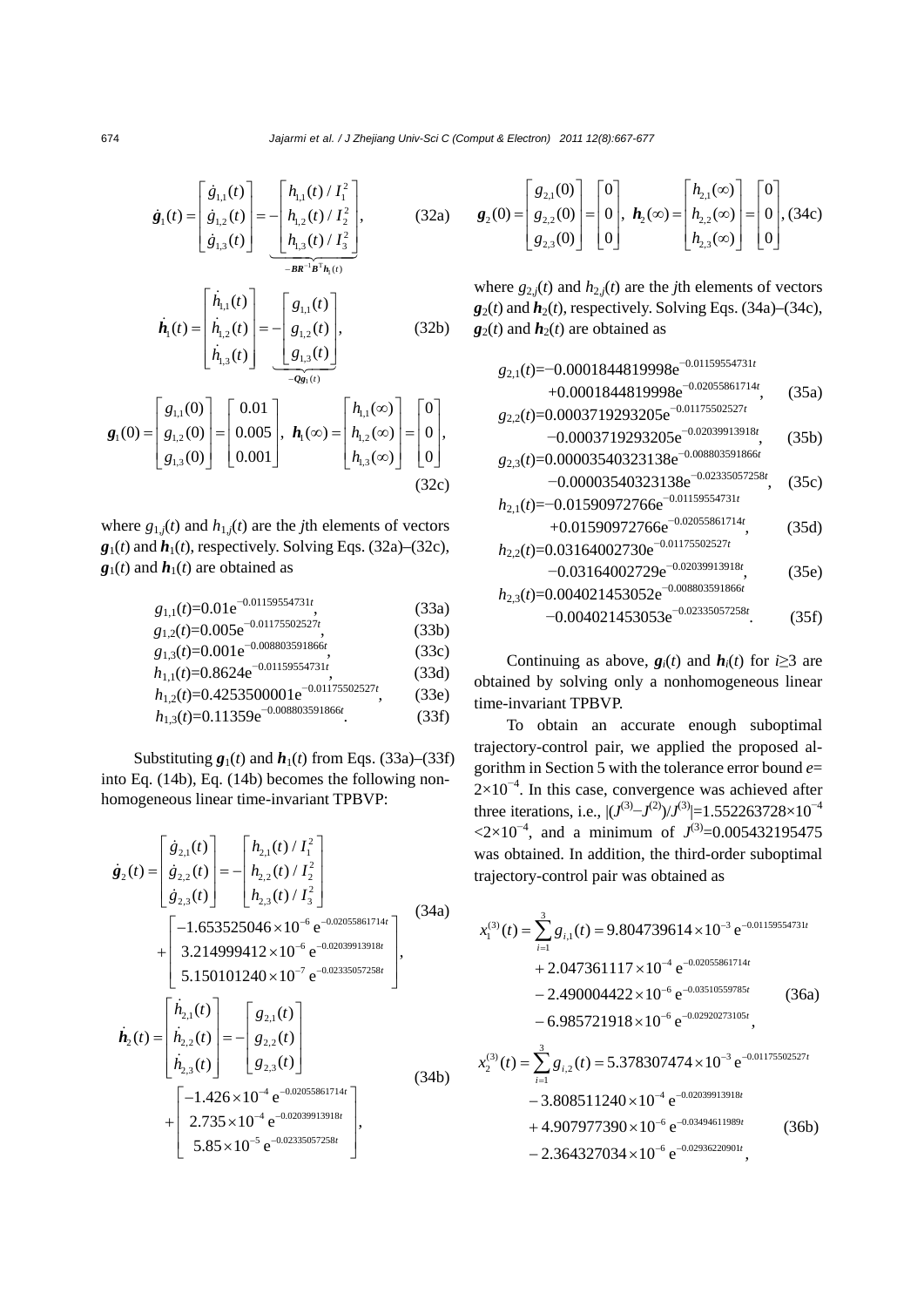$$
\dot{\mathbf{g}}_1(t) = \begin{bmatrix} \dot{g}_{1,1}(t) \\ \dot{g}_{1,2}(t) \\ \dot{g}_{1,3}(t) \end{bmatrix} = -\begin{bmatrix} h_{1,1}(t) / I_1^2 \\ h_{1,2}(t) / I_2^2 \\ h_{1,3}(t) / I_3^2 \end{bmatrix},
$$
(32a)

$$
\dot{\boldsymbol{h}}_{1}(t) = \begin{bmatrix} \dot{h}_{1,1}(t) \\ \dot{h}_{1,2}(t) \\ \dot{h}_{1,3}(t) \end{bmatrix} = -\begin{bmatrix} g_{1,1}(t) \\ g_{1,2}(t) \\ g_{1,3}(t) \end{bmatrix}, \qquad (32b)
$$

$$
\mathbf{g}_{1}(0) = \begin{bmatrix} g_{1,1}(0) \\ g_{1,2}(0) \\ g_{1,3}(0) \end{bmatrix} = \begin{bmatrix} 0.01 \\ 0.005 \\ 0.001 \end{bmatrix}, \ \mathbf{h}_{1}(\infty) = \begin{bmatrix} h_{1,1}(\infty) \\ h_{1,2}(\infty) \\ h_{1,3}(\infty) \end{bmatrix} = \begin{bmatrix} 0 \\ 0 \\ 0 \end{bmatrix}, \tag{32c}
$$

where  $g_{1,j}(t)$  and  $h_{1,j}(t)$  are the *j*th elements of vectors  $g_1(t)$  and  $h_1(t)$ , respectively. Solving Eqs. (32a)–(32c),  $g_1(t)$  and  $h_1(t)$  are obtained as

$$
g_{1,1}(t)=0.01e^{-0.01159554731t}
$$
, (33a)

$$
g_{1,2}(t)=0.005e^{-0.01175502527t}
$$
, (33b)  
\n $g_{1,2}(t)=0.001e^{-0.008803591866t}$ , (33c)

$$
g_{1,3}(t)=0.001e^{-0.008803591866t}
$$
, (33c)  
\n $h_{1,1}(t)=0.8624e^{-0.01159554731t}$  (33d)

$$
h_{1,1}(t)=0.8624e^{-0.01159554731t},
$$
\n(33d)  
\n
$$
h_{1,2}(t)=0.4253500001e^{-0.01175502527t},
$$
\n(33e)

$$
h_{1,2}(t)=0.4253500001e^{-0.01175502527t}
$$
, (33e

$$
h_{1,3}(t) = 0.11359 \mathrm{e}^{-0.008803591866t}.\tag{33f}
$$

Substituting  $g_1(t)$  and  $h_1(t)$  from Eqs. (33a)–(33f) into Eq. (14b), Eq. (14b) becomes the following nonhomogeneous linear time-invariant TPBVP:

$$
\dot{\mathbf{g}}_{2}(t) = \begin{bmatrix} \dot{g}_{2,1}(t) \\ \dot{g}_{2,2}(t) \\ \dot{g}_{2,3}(t) \end{bmatrix} = -\begin{bmatrix} h_{2,1}(t)/I_{1}^{2} \\ h_{2,2}(t)/I_{2}^{2} \\ h_{2,3}(t)/I_{3}^{2} \end{bmatrix}
$$
\n
$$
+ \begin{bmatrix} -1.653525046 \times 10^{-6} e^{-0.02055861714t} \\ 3.214999412 \times 10^{-6} e^{-0.02039913918t} \\ 5.150101240 \times 10^{-7} e^{-0.02335057258t} \end{bmatrix},
$$
\n
$$
\dot{\mathbf{h}}_{2}(t) = \begin{bmatrix} \dot{h}_{2,1}(t) \\ \dot{h}_{2,2}(t) \\ \dot{h}_{2,3}(t) \end{bmatrix} = -\begin{bmatrix} g_{2,1}(t) \\ g_{2,2}(t) \\ g_{2,3}(t) \end{bmatrix}
$$
\n
$$
+ \begin{bmatrix} -1.426 \times 10^{-4} e^{-0.02055861714t} \\ 2.735 \times 10^{-4} e^{-0.02039913918t} \\ 5.85 \times 10^{-5} e^{-0.02335057258t} \end{bmatrix},
$$
\n(34b)

$$
\mathbf{g}_{2}(0) = \begin{bmatrix} g_{2,1}(0) \\ g_{2,2}(0) \\ g_{2,3}(0) \end{bmatrix} = \begin{bmatrix} 0 \\ 0 \\ 0 \end{bmatrix}, \ \mathbf{h}_{2}(\infty) = \begin{bmatrix} h_{2,1}(\infty) \\ h_{2,2}(\infty) \\ h_{2,3}(\infty) \end{bmatrix} = \begin{bmatrix} 0 \\ 0 \\ 0 \end{bmatrix}, (34c)
$$

where  $g_{2,j}(t)$  and  $h_{2,j}(t)$  are the *j*th elements of vectors  $g_2(t)$  and  $h_2(t)$ , respectively. Solving Eqs. (34a)–(34c),  $g_2(t)$  and  $h_2(t)$  are obtained as

$$
g_{2,1}(t) = -0.0001844819998e^{-0.01159554731t}
$$
  
+0.0001844819998e^{-0.02055861714t}, (35a)  

$$
g_{2,2}(t) = 0.0003719293205e^{-0.01175502527t}
$$

$$
-0.0003719293205e^{-0.02039913918t}, \t(35b)
$$
  
g<sub>2,3</sub>(t)=0.00003540323138e<sup>-0.008803591866t</sup>

$$
-0.00003540323138e^{-0.02335057258t}, (35c)
$$

$$
h_{2,1}(t) = -0.01590972766e^{-0.01159554731t}
$$
  
+0.01590972766e<sup>-0.02055861714t</sup>, (35d)

$$
+0.01590972766e^{-0.02055861/14t}
$$
, (35d)  
 $h_{2,2}(t)=0.03164002730e^{-0.01175502527t}$ 

$$
-0.03164002729e^{-0.02039913918t}, \t(35e)
$$
  

$$
h_{2,3}(t)=0.004021453052e^{-0.008803591866t}
$$

$$
-0.004021453053e^{-0.02335057258t}.\t(35f)
$$

Continuing as above,  $g_i(t)$  and  $h_i(t)$  for *i* $\geq$ 3 are obtained by solving only a nonhomogeneous linear time-invariant TPBVP.

To obtain an accurate enough suboptimal trajectory-control pair, we applied the proposed algorithm in Section 5 with the tolerance error bound *e*=  $2\times10^{-4}$ . In this case, convergence was achieved after three iterations, i.e.,  $| (J^{(3)} – J^{(2)}) / J^{(3)} | = 1.552263728 \times 10^{-4}$  $\langle 2 \times 10^{-4}$ , and a minimum of  $J^{(3)} = 0.005432195475$ was obtained. In addition, the third-order suboptimal trajectory-control pair was obtained as

$$
x_1^{(3)}(t) = \sum_{i=1}^{3} g_{i,1}(t) = 9.804739614 \times 10^{-3} e^{-0.01159554731t}
$$
  
+ 2.047361117×10<sup>-4</sup> e<sup>-0.02055861714t</sup>  
- 2.490004422×10<sup>-6</sup> e<sup>-0.03510559785t</sup> (36a)  
- 6.985721918×10<sup>-6</sup> e<sup>-0.02920273105t</sup>,  

$$
x_2^{(3)}(t) = \sum_{i=1}^{3} g_{i,2}(t) = 5.378307474 \times 10^{-3} e^{-0.01175502527t}
$$
  
- 3.808511240×10<sup>-4</sup> e<sup>-0.02039913918t</sup>  
+ 4.907977390×10<sup>-6</sup> e<sup>-0.03494611989t</sup> (36b)

 $-2.364327034\times10^{-6}$  e<sup>-0.02936220901t</sup>,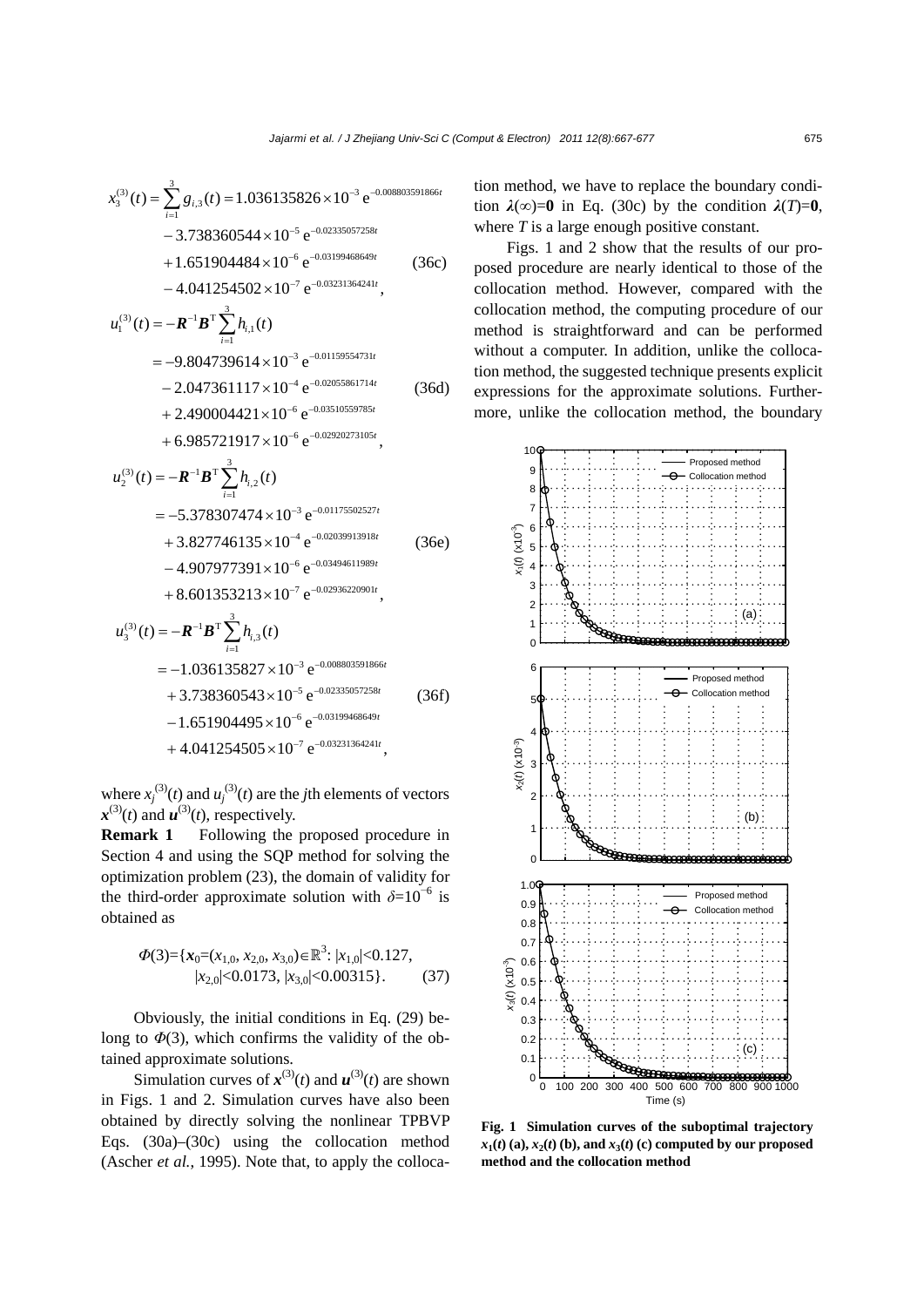$$
x_3^{(3)}(t) = \sum_{i=1}^3 g_{i,3}(t) = 1.036135826 \times 10^{-3} e^{-0.008803591866t}
$$
  
\n
$$
-3.738360544 \times 10^{-5} e^{-0.02335057258t}
$$
  
\n
$$
+1.651904484 \times 10^{-6} e^{-0.03199468649t}
$$
  
\n
$$
-4.041254502 \times 10^{-7} e^{-0.03231364241t},
$$
  
\n
$$
u_1^{(3)}(t) = -R^{-1}B^T \sum_{i=1}^3 h_{i,1}(t)
$$
  
\n
$$
= -9.804739614 \times 10^{-3} e^{-0.01159554731t}
$$
  
\n
$$
-2.047361117 \times 10^{-4} e^{-0.02055861714t}
$$
  
\n
$$
+2.490004421 \times 10^{-6} e^{-0.03510559785t}
$$
  
\n
$$
+6.985721917 \times 10^{-6} e^{-0.02920273105t},
$$
  
\n
$$
u^{(3)}(t) = -R^{-1}R^{T} \sum_{i=1}^3 h_{i}(t)
$$

$$
u_2^{(3)}(t) = -R^{-1}B^{\mathrm{T}} \sum_{i=1} h_{i,2}(t)
$$
  
= -5.378307474 × 10<sup>-3</sup> e<sup>-0.01175502527t</sup>  
+ 3.827746135 × 10<sup>-4</sup> e<sup>-0.02039913918t</sup>  
- 4.907977391 × 10<sup>-6</sup> e<sup>-0.03494611989t</sup>  
+ 8.601353213 × 10<sup>-7</sup> e<sup>-0.02936220901t</sup>,

$$
u_3^{(3)}(t) = -R^{-1}B^{\mathrm{T}} \sum_{i=1}^{3} h_{i,3}(t)
$$
  
= -1.036135827 × 10<sup>-3</sup> e<sup>-0.008803591866t</sup>  
+ 3.738360543 × 10<sup>-5</sup> e<sup>-0.02335057258t</sup>  
- 1.651904495 × 10<sup>-6</sup> e<sup>-0.03199468649t</sup>  
+ 4.041254505 × 10<sup>-7</sup> e<sup>-0.03231364241t</sup>,

where  $x_j^{(3)}(t)$  and  $u_j^{(3)}(t)$  are the *j*th elements of vectors  $x^{(3)}(t)$  and  $u^{(3)}(t)$ , respectively.

**Remark 1** Following the proposed procedure in Section 4 and using the SQP method for solving the optimization problem (23), the domain of validity for the third-order approximate solution with  $\delta = 10^{-6}$  is obtained as

$$
\Phi(3) = \{x_0 = (x_{1,0}, x_{2,0}, x_{3,0}) \in \mathbb{R}^3 : |x_{1,0}| < 0.127, |x_{2,0}| < 0.0173, |x_{3,0}| < 0.00315\}.
$$
 (37)

Obviously, the initial conditions in Eq. (29) belong to  $\Phi(3)$ , which confirms the validity of the obtained approximate solutions.

Simulation curves of  $x^{(3)}(t)$  and  $u^{(3)}(t)$  are shown in Figs. 1 and 2. Simulation curves have also been obtained by directly solving the nonlinear TPBVP Eqs. (30a)–(30c) using the collocation method (Ascher *et al.*, 1995). Note that, to apply the collocation method, we have to replace the boundary condition  $\lambda(\infty)=0$  in Eq. (30c) by the condition  $\lambda(T)=0$ , where *T* is a large enough positive constant.

Figs. 1 and 2 show that the results of our proposed procedure are nearly identical to those of the collocation method. However, compared with the collocation method, the computing procedure of our method is straightforward and can be performed without a computer. In addition, unlike the collocation method, the suggested technique presents explicit expressions for the approximate solutions. Furthermore, unlike the collocation method, the boundary



**Fig. 1 Simulation curves of the suboptimal trajectory**   $x_1(t)$  (a),  $x_2(t)$  (b), and  $x_3(t)$  (c) computed by our proposed **method and the collocation method**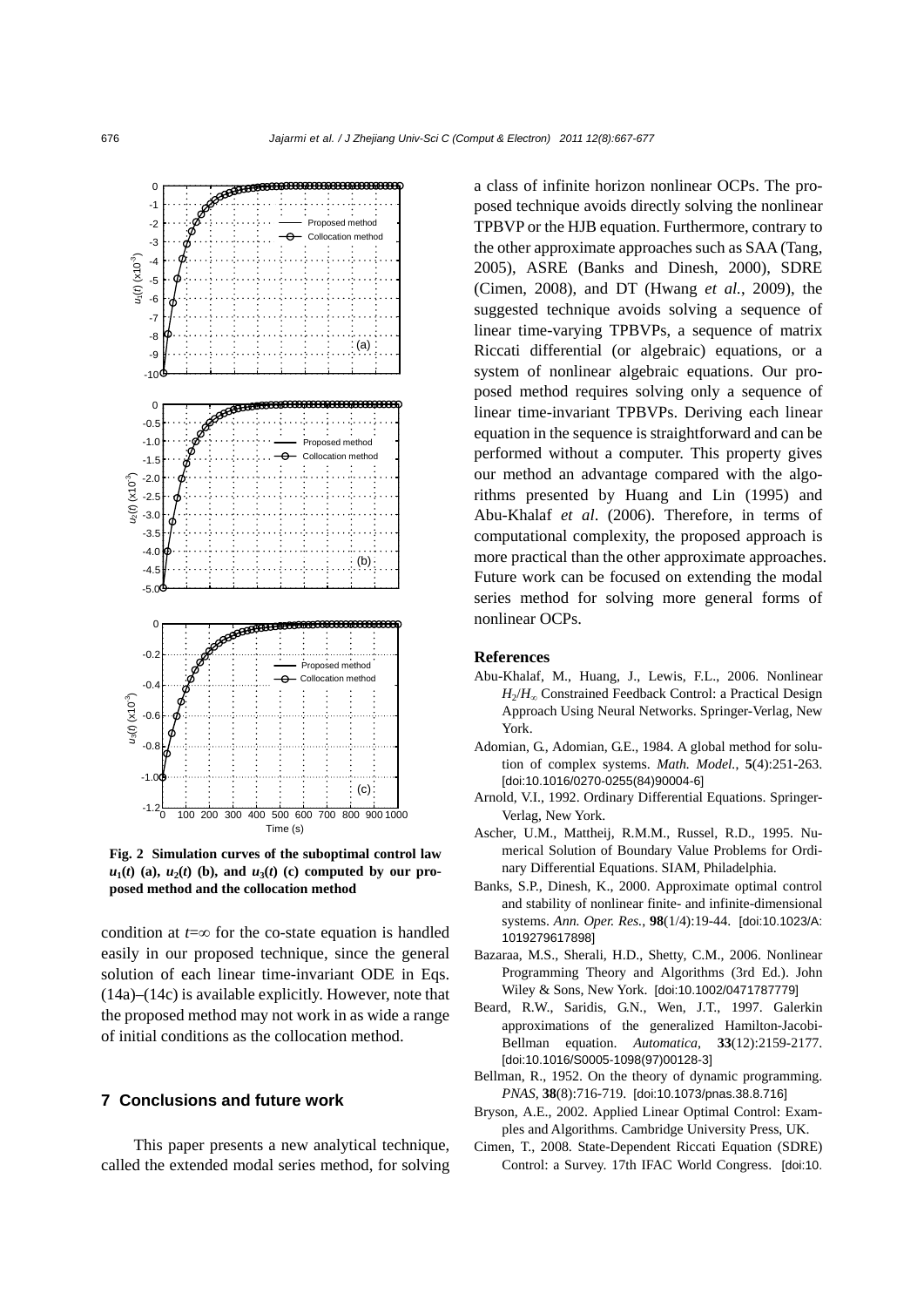

**Fig. 2 Simulation curves of the suboptimal control law**   $u_1(t)$  (a),  $u_2(t)$  (b), and  $u_3(t)$  (c) computed by our pro**posed method and the collocation method** 

condition at *t*=∞ for the co-state equation is handled easily in our proposed technique, since the general solution of each linear time-invariant ODE in Eqs. (14a)–(14c) is available explicitly. However, note that the proposed method may not work in as wide a range of initial conditions as the collocation method.

# **7 Conclusions and future work**

This paper presents a new analytical technique, called the extended modal series method, for solving a class of infinite horizon nonlinear OCPs. The proposed technique avoids directly solving the nonlinear TPBVP or the HJB equation. Furthermore, contrary to the other approximate approaches such as SAA (Tang, 2005), ASRE (Banks and Dinesh, 2000), SDRE (Cimen, 2008), and DT (Hwang *et al.*, 2009), the suggested technique avoids solving a sequence of linear time-varying TPBVPs, a sequence of matrix Riccati differential (or algebraic) equations, or a system of nonlinear algebraic equations. Our proposed method requires solving only a sequence of linear time-invariant TPBVPs. Deriving each linear equation in the sequence is straightforward and can be performed without a computer. This property gives our method an advantage compared with the algorithms presented by Huang and Lin (1995) and Abu-Khalaf *et al*. (2006). Therefore, in terms of computational complexity, the proposed approach is more practical than the other approximate approaches. Future work can be focused on extending the modal series method for solving more general forms of nonlinear OCPs.

#### **References**

- Abu-Khalaf, M., Huang, J., Lewis, F.L., 2006. Nonlinear *H*<sub>2</sub>/*H*<sub>∞</sub> Constrained Feedback Control: a Practical Design Approach Using Neural Networks. Springer-Verlag, New York.
- Adomian, G., Adomian, G.E., 1984. A global method for solution of complex systems. *Math. Model.*, **5**(4):251-263. [doi:10.1016/0270-0255(84)90004-6]
- Arnold, V.I., 1992. Ordinary Differential Equations. Springer-Verlag, New York.
- Ascher, U.M., Mattheij, R.M.M., Russel, R.D., 1995. Numerical Solution of Boundary Value Problems for Ordinary Differential Equations. SIAM, Philadelphia.
- Banks, S.P., Dinesh, K., 2000. Approximate optimal control and stability of nonlinear finite- and infinite-dimensional systems. *Ann. Oper. Res.*, **98**(1/4):19-44. [doi:10.1023/A: 1019279617898]
- Bazaraa, M.S., Sherali, H.D., Shetty, C.M., 2006. Nonlinear Programming Theory and Algorithms (3rd Ed.). John Wiley & Sons, New York. [doi:10.1002/0471787779]
- Beard, R.W., Saridis, G.N., Wen, J.T., 1997. Galerkin approximations of the generalized Hamilton-Jacobi-Bellman equation. *Automatica*, **33**(12):2159-2177. [doi:10.1016/S0005-1098(97)00128-3]
- Bellman, R., 1952. On the theory of dynamic programming. *PNAS*, **38**(8):716-719. [doi:10.1073/pnas.38.8.716]
- Bryson, A.E., 2002. Applied Linear Optimal Control: Examples and Algorithms. Cambridge University Press, UK.
- Cimen, T., 2008. State-Dependent Riccati Equation (SDRE) Control: a Survey. 17th IFAC World Congress. [doi:10.